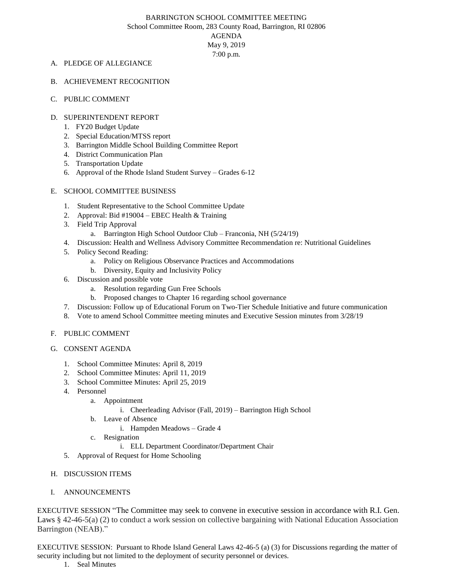#### BARRINGTON SCHOOL COMMITTEE MEETING School Committee Room, 283 County Road, Barrington, RI 02806

AGENDA

May 9, 2019 7:00 p.m.

## A. PLEDGE OF ALLEGIANCE

- B. ACHIEVEMENT RECOGNITION
- C. PUBLIC COMMENT

# D. SUPERINTENDENT REPORT

- 1. FY20 Budget Update
- 2. Special Education/MTSS report
- 3. Barrington Middle School Building Committee Report
- 4. District Communication Plan
- 5. Transportation Update
- 6. Approval of the Rhode Island Student Survey Grades 6-12

# E. SCHOOL COMMITTEE BUSINESS

- 1. Student Representative to the School Committee Update
- 2. Approval: Bid #19004 EBEC Health & Training
- 3. Field Trip Approval
	- a. Barrington High School Outdoor Club Franconia, NH (5/24/19)
- 4. Discussion: Health and Wellness Advisory Committee Recommendation re: Nutritional Guidelines
- 5. Policy Second Reading:
	- a. Policy on Religious Observance Practices and Accommodations
	- b. Diversity, Equity and Inclusivity Policy
- 6. Discussion and possible vote
	- a. Resolution regarding Gun Free Schools
	- b. Proposed changes to Chapter 16 regarding school governance
- 7. Discussion: Follow up of Educational Forum on Two-Tier Schedule Initiative and future communication
- 8. Vote to amend School Committee meeting minutes and Executive Session minutes from 3/28/19

### F. PUBLIC COMMENT

- G. CONSENT AGENDA
	- 1. School Committee Minutes: April 8, 2019
	- 2. School Committee Minutes: April 11, 2019
	- 3. School Committee Minutes: April 25, 2019
	- 4. Personnel
		- a. Appointment
			- i. Cheerleading Advisor (Fall, 2019) Barrington High School
		- b. Leave of Absence
			- i. Hampden Meadows Grade 4
		- c. Resignation
			- i. ELL Department Coordinator/Department Chair
	- 5. Approval of Request for Home Schooling
- H. DISCUSSION ITEMS
- I. ANNOUNCEMENTS

EXECUTIVE SESSION "The Committee may seek to convene in executive session in accordance with R.I. Gen. Laws § 42-46-5(a) (2) to conduct a work session on collective bargaining with National Education Association Barrington (NEAB)."

EXECUTIVE SESSION: Pursuant to Rhode Island General Laws 42-46-5 (a) (3) for Discussions regarding the matter of security including but not limited to the deployment of security personnel or devices.

1. Seal Minutes